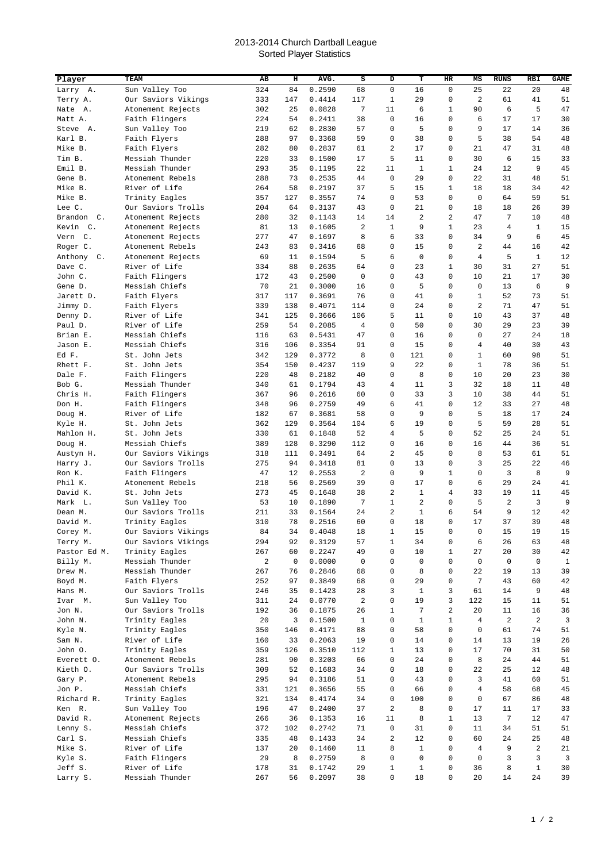## 2013-2014 Church Dartball League Sorted Player Statistics

| Player                 | TEAM                                      | AB         | н           | AVG.             | S            | D              | т            | HR             | MS             | <b>RUNS</b>    | <b>RBI</b>   | <b>GAME</b>  |
|------------------------|-------------------------------------------|------------|-------------|------------------|--------------|----------------|--------------|----------------|----------------|----------------|--------------|--------------|
| Larry A.               | Sun Valley Too                            | 324        | 84          | 0.2590           | 68           | 0              | 16           | 0              | 25             | 22             | 20           | 48           |
| Terry A.               | Our Saviors Vikings                       | 333        | 147         | 0.4414           | 117          | 1              | 29           | 0              | $\overline{2}$ | 61             | 41           | 51           |
| Nate<br>Α.             | Atonement Rejects                         | 302        | 25          | 0.0828           | 7            | 11             | 6            | 1              | 90             | 6              | 5            | 47           |
| Matt A.                | Faith Flingers                            | 224        | 54          | 0.2411           | 38           | $\mathbf 0$    | 16           | 0              | 6              | 17             | 17           | 30           |
| Steve A.               | Sun Valley Too                            | 219        | 62          | 0.2830           | 57           | 0              | 5            | $\mathbf 0$    | 9              | 17             | 14           | 36           |
| Karl B.                | Faith Flyers                              | 288        | 97          | 0.3368           | 59           | $\mathbf 0$    | 38           | 0              | 5              | 38             | 54           | 48           |
| Mike B.                | Faith Flyers                              | 282        | 80          | 0.2837           | 61           | 2              | 17           | 0              | 21             | 47             | 31           | 48           |
| Tim B.                 | Messiah Thunder                           | 220        | 33          | 0.1500           | 17           | 5              | 11           | 0              | 30             | 6              | 15           | 33           |
| Emil B.                | Messiah Thunder                           | 293        | 35          | 0.1195           | 22           | 11             | $\mathbf{1}$ | $\mathbf{1}$   | 24             | 12             | 9            | 45           |
| Gene B.                | Atonement Rebels                          | 288        | 73          | 0.2535           | 44           | $\mathbf 0$    | 29           | $\mathbf 0$    | 22             | 31             | 48           | 51           |
| Mike B.                | River of Life                             | 264        | 58          | 0.2197           | 37           | 5              | 15           | $\mathbf{1}$   | 18             | 18             | 34           | 42           |
| Mike B.                | Trinity Eagles                            | 357        | 127         | 0.3557           | 74           | 0              | 53           | $\mathbf 0$    | $\mathbf 0$    | 64             | 59           | 51           |
| Lee C.                 | Our Saviors Trolls                        | 204        | 64          | 0.3137           | 43           | 0              | 21           | 0              | 18             | 18             | 26           | 39           |
| Brandon C.             | Atonement Rejects                         | 280        | 32          | 0.1143           | 14           | 14             | 2            | 2              | 47             | 7              | 10           | 48           |
| Kevin C.               | Atonement Rejects                         | 81         | 13          | 0.1605           | 2            | 1              | 9            | 1              | 23             | $\overline{4}$ | $\mathbf{1}$ | 15           |
| Vern<br>$\mathsf{C}$ . | Atonement Rejects                         | 277        | 47<br>83    | 0.1697           | 8<br>68      | 6<br>0         | 33<br>15     | 0<br>0         | 34<br>2        | 9<br>44        | 6<br>16      | 45<br>42     |
| Roger C.<br>Anthony C. | Atonement Rebels<br>Atonement Rejects     | 243<br>69  | 11          | 0.3416<br>0.1594 | 5            | 6              | 0            | 0              | 4              | 5              | $\mathbf{1}$ | 12           |
| Dave C.                | River of Life                             | 334        | 88          | 0.2635           | 64           | 0              | 23           | 1              | 30             | 31             | 27           | 51           |
| John C.                | Faith Flingers                            | 172        | 43          | 0.2500           | 0            | 0              | 43           | 0              | 10             | 21             | 17           | 30           |
| Gene D.                | Messiah Chiefs                            | 70         | 21          | 0.3000           | 16           | 0              | 5            | 0              | 0              | 13             | 6            | 9            |
| Jarett D.              | Faith Flyers                              | 317        | 117         | 0.3691           | 76           | 0              | 41           | 0              | $\mathbf{1}$   | 52             | 73           | 51           |
| Jimmy D.               | Faith Flyers                              | 339        | 138         | 0.4071           | 114          | 0              | 24           | 0              | $\overline{a}$ | 71             | 47           | 51           |
| Denny D.               | River of Life                             | 341        | 125         | 0.3666           | 106          | 5              | 11           | 0              | 10             | 43             | 37           | 48           |
| Paul D.                | River of Life                             | 259        | 54          | 0.2085           | 4            | 0              | 50           | $\mathbf 0$    | 30             | 29             | 23           | 39           |
| Brian E.               | Messiah Chiefs                            | 116        | 63          | 0.5431           | 47           | 0              | 16           | 0              | $\Omega$       | 27             | 24           | 18           |
| Jason E.               | Messiah Chiefs                            | 316        | 106         | 0.3354           | 91           | 0              | 15           | 0              | 4              | 40             | 30           | 43           |
| Ed F.                  | St. John Jets                             | 342        | 129         | 0.3772           | 8            | $\mathbf 0$    | 121          | 0              | $\mathbf{1}$   | 60             | 98           | 51           |
| Rhett F.               | St. John Jets                             | 354        | 150         | 0.4237           | 119          | 9              | 22           | $\mathbf 0$    | $\mathbf 1$    | 78             | 36           | 51           |
| Dale F.                | Faith Flingers                            | 220        | 48          | 0.2182           | 40           | 0              | 8            | $\mathbf 0$    | 10             | 20             | 23           | 30           |
| Bob G.                 | Messiah Thunder                           | 340        | 61          | 0.1794           | 43           | $\overline{4}$ | 11           | 3              | 32             | 18             | 11           | 48           |
| Chris H.               | Faith Flingers                            | 367        | 96          | 0.2616           | 60           | 0              | 33           | 3              | 10             | 38             | 44           | 51           |
| Don H.                 | Faith Flingers                            | 348        | 96          | 0.2759           | 49           | 6              | 41           | 0              | 12             | 33             | 27           | 48           |
| Doug H.                | River of Life                             | 182        | 67          | 0.3681           | 58           | 0              | 9            | 0              | 5              | 18             | 17           | 24           |
| Kyle H.                | St. John Jets                             | 362        | 129         | 0.3564           | 104          | 6              | 19           | 0              | 5              | 59             | 28           | 51           |
| Mahlon H.              | St. John Jets                             | 330        | 61          | 0.1848           | 52           | $\overline{4}$ | 5            | 0              | 52             | 25             | 24           | 51           |
| Doug H.                | Messiah Chiefs                            | 389        | 128         | 0.3290           | 112          | 0              | 16           | 0              | 16             | 44             | 36           | 51           |
| Austyn H.              | Our Saviors Vikings<br>Our Saviors Trolls | 318<br>275 | 111<br>94   | 0.3491<br>0.3418 | 64<br>81     | 2<br>0         | 45<br>13     | 0<br>0         | 8<br>3         | 53<br>25       | 61<br>22     | 51<br>46     |
| Harry J.<br>Ron K.     | Faith Flingers                            | 47         | 12          | 0.2553           | 2            | 0              | 9            | $\mathbf{1}$   | 0              | $\overline{3}$ | 8            | 9            |
| Phil K.                | Atonement Rebels                          | 218        | 56          | 0.2569           | 39           | $\mathbf 0$    | 17           | $\mathbf 0$    | 6              | 29             | 24           | 41           |
| David K.               | St. John Jets                             | 273        | 45          | 0.1648           | 38           | 2              | 1            | $\overline{4}$ | 33             | 19             | 11           | 45           |
| Mark L.                | Sun Valley Too                            | 53         | 10          | 0.1890           | 7            | $\mathbf{1}$   | 2            | 0              | 5              | $\overline{a}$ | 3            | 9            |
| Dean M.                | Our Saviors Trolls                        | 211        | 33          | 0.1564           | 24           | $\overline{2}$ | $\mathbf{1}$ | 6              | 54             | 9              | 12           | 42           |
| David M.               | Trinity Eagles                            | 310        | 78          | 0.2516           | 60           | 0              | 18           | $\mathbf 0$    | 17             | 37             | 39           | 48           |
| Corey M.               | Our Saviors Vikings                       | 84         | 34          | 0.4048           | $18\,$       | $\mathbf 1$    | 15           | 0              | 0              | 15             | 19           | 15           |
| Terry M.               | Our Saviors Vikings                       | 294        | 92          | 0.3129           | 57           | 1              | 34           | 0              | 6              | 26             | 63           | 48           |
| Pastor Ed M.           | Trinity Eagles                            | 267        | 60          | 0.2247           | 49           | 0              | 10           | $\mathbf{1}$   | 27             | 20             | 30           | 42           |
| Billy M.               | Messiah Thunder                           | 2          | $\mathbf 0$ | 0.0000           | $\mathbf 0$  | 0              | 0            | 0              | 0              | $\mathbf 0$    | $\mathbf 0$  | $\mathbf{1}$ |
| Drew M.                | Messiah Thunder                           | 267        | 76          | 0.2846           | 68           | 0              | 8            | 0              | 22             | 19             | 13           | 39           |
| Boyd M.                | Faith Flyers                              | 252        | 97          | 0.3849           | 68           | 0              | 29           | 0              | 7              | 43             | 60           | 42           |
| Hans M.                | Our Saviors Trolls                        | 246        | 35          | 0.1423           | 28           | 3              | 1            | 3              | 61             | 14             | 9            | 48           |
| Ivar M.                | Sun Valley Too                            | 311        | 24          | 0.0770           | 2            | 0              | 19           | 3              | 122            | 15             | 11           | 51           |
| Jon N.                 | Our Saviors Trolls                        | 192        | 36          | 0.1875           | 26           | 1              | 7            | 2              | 20             | 11             | 16           | 36           |
| John N.                | Trinity Eagles                            | 20         | 3           | 0.1500           | $\mathbf{1}$ | 0              | 1            | 1              | 4              | $\overline{a}$ | 2            | 3            |
| Kyle N.                | Trinity Eagles                            | 350        | 146         | 0.4171           | 88           | 0              | 58           | 0              | 0              | 61             | 74           | 51           |
| Sam N.<br>John O.      | River of Life<br>Trinity Eagles           | 160<br>359 | 33<br>126   | 0.2063<br>0.3510 | 19<br>112    | 0<br>1         | 14<br>13     | 0<br>0         | 14<br>17       | 13<br>70       | 19<br>31     | 26<br>50     |
| Everett O.             | Atonement Rebels                          | 281        | 90          | 0.3203           | 66           | 0              | 24           | 0              | 8              | 24             | 44           | 51           |
| Kieth O.               | Our Saviors Trolls                        | 309        | 52          | 0.1683           | 34           | 0              | 18           | 0              | 22             | 25             | 12           | 48           |
| Gary P.                | Atonement Rebels                          | 295        | 94          | 0.3186           | 51           | 0              | 43           | 0              | 3              | 41             | 60           | 51           |
| Jon P.                 | Messiah Chiefs                            | 331        | 121         | 0.3656           | 55           | 0              | 66           | 0              | $\overline{4}$ | 58             | 68           | 45           |
| Richard R.             | Trinity Eagles                            | 321        | 134         | 0.4174           | 34           | 0              | 100          | 0              | 0              | 67             | 86           | 48           |
| Ken R.                 | Sun Valley Too                            | 196        | 47          | 0.2400           | 37           | $\overline{c}$ | 8            | 0              | 17             | 11             | 17           | 33           |
| David R.               | Atonement Rejects                         | 266        | 36          | 0.1353           | 16           | 11             | 8            | 1              | 13             | 7              | 12           | 47           |
| Lenny S.               | Messiah Chiefs                            | 372        | 102         | 0.2742           | 71           | 0              | 31           | 0              | 11             | 34             | 51           | 51           |
| Carl S.                | Messiah Chiefs                            | 335        | 48          | 0.1433           | 34           | 2              | 12           | 0              | 60             | 24             | 25           | 48           |
| Mike S.                | River of Life                             | 137        | 20          | 0.1460           | 11           | 8              | $\mathbf{1}$ | 0              | 4              | 9              | 2            | 21           |
| Kyle S.                | Faith Flingers                            | 29         | 8           | 0.2759           | 8            | 0              | 0            | 0              | 0              | 3              | 3            | 3            |
| Jeff S.                | River of Life                             | 178        | 31          | 0.1742           | 29           | $\mathbf{1}$   | 1            | 0              | 36             | 8              | $\mathbf{1}$ | 30           |
| Larry S.               | Messiah Thunder                           | 267        | 56          | 0.2097           | 38           | 0              | 18           | 0              | 20             | 14             | 24           | 39           |